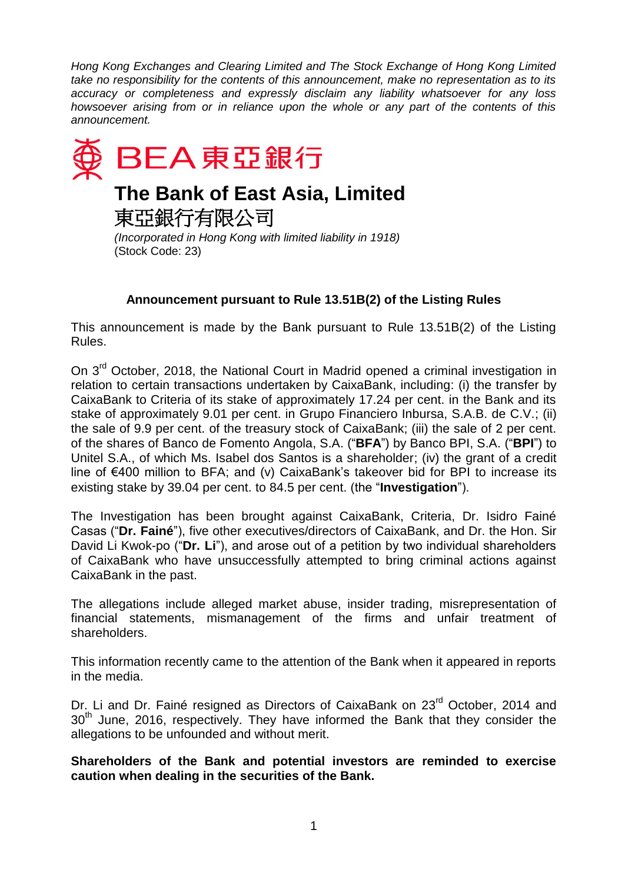*Hong Kong Exchanges and Clearing Limited and The Stock Exchange of Hong Kong Limited take no responsibility for the contents of this announcement, make no representation as to its accuracy or completeness and expressly disclaim any liability whatsoever for any loss howsoever arising from or in reliance upon the whole or any part of the contents of this announcement.*



## **Announcement pursuant to Rule 13.51B(2) of the Listing Rules**

This announcement is made by the Bank pursuant to Rule 13.51B(2) of the Listing Rules.

On 3<sup>rd</sup> October, 2018, the National Court in Madrid opened a criminal investigation in relation to certain transactions undertaken by CaixaBank, including: (i) the transfer by CaixaBank to Criteria of its stake of approximately 17.24 per cent. in the Bank and its stake of approximately 9.01 per cent. in Grupo Financiero Inbursa, S.A.B. de C.V.; (ii) the sale of 9.9 per cent. of the treasury stock of CaixaBank; (iii) the sale of 2 per cent. of the shares of Banco de Fomento Angola, S.A. ("**BFA**") by Banco BPI, S.A. ("**BPI**") to Unitel S.A., of which Ms. Isabel dos Santos is a shareholder; (iv) the grant of a credit line of €400 million to BFA; and (v) CaixaBank's takeover bid for BPI to increase its existing stake by 39.04 per cent. to 84.5 per cent. (the "**Investigation**").

The Investigation has been brought against CaixaBank, Criteria, Dr. Isidro Fainé Casas ("**Dr. Fainé**"), five other executives/directors of CaixaBank, and Dr. the Hon. Sir David Li Kwok-po ("**Dr. Li**"), and arose out of a petition by two individual shareholders of CaixaBank who have unsuccessfully attempted to bring criminal actions against CaixaBank in the past.

The allegations include alleged market abuse, insider trading, misrepresentation of financial statements, mismanagement of the firms and unfair treatment of shareholders.

This information recently came to the attention of the Bank when it appeared in reports in the media.

Dr. Li and Dr. Fainé resigned as Directors of CaixaBank on 23<sup>rd</sup> October, 2014 and  $30<sup>th</sup>$  June, 2016, respectively. They have informed the Bank that they consider the allegations to be unfounded and without merit.

**Shareholders of the Bank and potential investors are reminded to exercise caution when dealing in the securities of the Bank.**